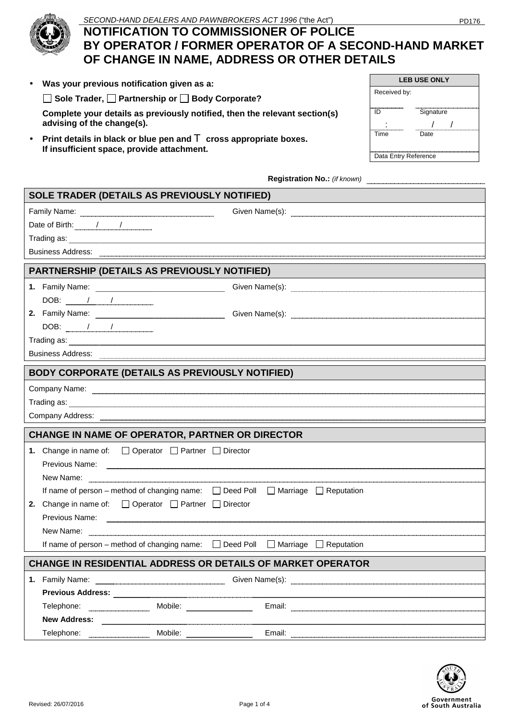

# SECOND-HAND DEALERS AND PAWNBROKERS ACT 1996 ("the Act") PD176 **NOTIFICATION TO COMMISSIONER OF POLICE BY OPERATOR / FORMER OPERATOR OF A SECOND-HAND MARKET OF CHANGE IN NAME, ADDRESS OR OTHER DETAILS**

| UI UIKRUE IR RAME, ADDREUU UR UIHER DETAIEU |                                                                                                                             |              |                              |  |
|---------------------------------------------|-----------------------------------------------------------------------------------------------------------------------------|--------------|------------------------------|--|
|                                             | • Was your previous notification given as a:                                                                                |              | <b>LEB USE ONLY</b>          |  |
|                                             | $ $ Sole Trader, $\Box$ Partnership or $\Box$ Body Corporate?                                                               | Received by: |                              |  |
|                                             | Complete your details as previously notified, then the relevant section(s)<br>advising of the change(s).                    | ID           | Signature                    |  |
|                                             | • Print details in black or blue pen and $\mathbf T$ cross appropriate boxes.<br>If insufficient space, provide attachment. | Time         | Date<br>Data Entry Reference |  |

**Registration No.:** *(if known)*

| SOLE TRADER (DETAILS AS PREVIOUSLY NOTIFIED) |                                                                                                                                                                                                                                                                                                                                                                     |         |                                                                                                                                                                                                                                      |  |  |  |  |
|----------------------------------------------|---------------------------------------------------------------------------------------------------------------------------------------------------------------------------------------------------------------------------------------------------------------------------------------------------------------------------------------------------------------------|---------|--------------------------------------------------------------------------------------------------------------------------------------------------------------------------------------------------------------------------------------|--|--|--|--|
|                                              | Family Name: www.communication.com/www.com/www.com/www.com/www.com/www.com/www.com/www.com/www.com/                                                                                                                                                                                                                                                                 |         | Given Name(s): www.communication.com/www.com/www.com/www.com/www.com/www.com/www.com/www.com/www.com/www.com/w                                                                                                                       |  |  |  |  |
|                                              |                                                                                                                                                                                                                                                                                                                                                                     |         |                                                                                                                                                                                                                                      |  |  |  |  |
|                                              |                                                                                                                                                                                                                                                                                                                                                                     |         |                                                                                                                                                                                                                                      |  |  |  |  |
|                                              | Business Address: <b>Production and Container and Container and Container and Container and Container and Container</b>                                                                                                                                                                                                                                             |         |                                                                                                                                                                                                                                      |  |  |  |  |
|                                              | PARTNERSHIP (DETAILS AS PREVIOUSLY NOTIFIED)                                                                                                                                                                                                                                                                                                                        |         |                                                                                                                                                                                                                                      |  |  |  |  |
|                                              |                                                                                                                                                                                                                                                                                                                                                                     |         |                                                                                                                                                                                                                                      |  |  |  |  |
|                                              | $\begin{picture}(20,10) \put(0,0){\vector(1,0){100}} \put(15,0){\vector(1,0){100}} \put(15,0){\vector(1,0){100}} \put(15,0){\vector(1,0){100}} \put(15,0){\vector(1,0){100}} \put(15,0){\vector(1,0){100}} \put(15,0){\vector(1,0){100}} \put(15,0){\vector(1,0){100}} \put(15,0){\vector(1,0){100}} \put(15,0){\vector(1,0){100}} \put(15,0){\vector(1,0){100}} \$ |         |                                                                                                                                                                                                                                      |  |  |  |  |
|                                              | 2. Family Name: <b>Family Name:</b> Family Name: The Manuscription of the Manuscription of the Manuscription of the Manuscription of the Manuscription of the Manuscription of the Manuscription of the Manuscription of the Manusc                                                                                                                                 |         |                                                                                                                                                                                                                                      |  |  |  |  |
|                                              | $DOB:$ $\qquad \qquad \qquad$                                                                                                                                                                                                                                                                                                                                       |         |                                                                                                                                                                                                                                      |  |  |  |  |
|                                              |                                                                                                                                                                                                                                                                                                                                                                     |         |                                                                                                                                                                                                                                      |  |  |  |  |
|                                              |                                                                                                                                                                                                                                                                                                                                                                     |         |                                                                                                                                                                                                                                      |  |  |  |  |
|                                              | BODY CORPORATE (DETAILS AS PREVIOUSLY NOTIFIED)                                                                                                                                                                                                                                                                                                                     |         |                                                                                                                                                                                                                                      |  |  |  |  |
|                                              |                                                                                                                                                                                                                                                                                                                                                                     |         | Company Name: <u>Discovery Company Name: Company Name: Company Name: Company Name: Company Name:</u>                                                                                                                                 |  |  |  |  |
|                                              | Trading as: www.communication.com/www.com/www.com/www.com/www.com/www.com/www.com/www.com/www.com/www.com/www.com/                                                                                                                                                                                                                                                  |         |                                                                                                                                                                                                                                      |  |  |  |  |
|                                              |                                                                                                                                                                                                                                                                                                                                                                     |         |                                                                                                                                                                                                                                      |  |  |  |  |
|                                              | <b>CHANGE IN NAME OF OPERATOR, PARTNER OR DIRECTOR</b>                                                                                                                                                                                                                                                                                                              |         |                                                                                                                                                                                                                                      |  |  |  |  |
|                                              | 1. Change in name of: □ Operator □ Partner □ Director                                                                                                                                                                                                                                                                                                               |         |                                                                                                                                                                                                                                      |  |  |  |  |
|                                              |                                                                                                                                                                                                                                                                                                                                                                     |         | Previous Name: <u>Communication of the Communication of the Communication of the Communication of the Communication</u>                                                                                                              |  |  |  |  |
|                                              |                                                                                                                                                                                                                                                                                                                                                                     |         | New Name: <u>Conserverse Communications</u> and the New Name: Conserverse Communications and the New York Conserverse Communications and the New York Conserverse Communications and the New York Conserverse Communications and th  |  |  |  |  |
|                                              | If name of person - method of changing name: □ Deed Poll □ Marriage □ Reputation                                                                                                                                                                                                                                                                                    |         |                                                                                                                                                                                                                                      |  |  |  |  |
|                                              | <b>2.</b> Change in name of: $\Box$ Operator $\Box$ Partner $\Box$ Director                                                                                                                                                                                                                                                                                         |         |                                                                                                                                                                                                                                      |  |  |  |  |
|                                              | Previous Name: <b>Manual According to the Contract Orange of the Contract Orange Contract Orange of Truma</b>                                                                                                                                                                                                                                                       |         |                                                                                                                                                                                                                                      |  |  |  |  |
|                                              |                                                                                                                                                                                                                                                                                                                                                                     |         |                                                                                                                                                                                                                                      |  |  |  |  |
|                                              | If name of person – method of changing name: □ Deed Poll □ Marriage □ Reputation                                                                                                                                                                                                                                                                                    |         |                                                                                                                                                                                                                                      |  |  |  |  |
|                                              | <b>CHANGE IN RESIDENTIAL ADDRESS OR DETAILS OF MARKET OPERATOR</b>                                                                                                                                                                                                                                                                                                  |         |                                                                                                                                                                                                                                      |  |  |  |  |
|                                              |                                                                                                                                                                                                                                                                                                                                                                     |         | Given Name(s): www.communication.com/www.communication.com/www.communication.com/www.com/www.com/www.com/www.com                                                                                                                     |  |  |  |  |
|                                              | Previous Address: National Address: National Address: National Address: National Address: National Address                                                                                                                                                                                                                                                          |         |                                                                                                                                                                                                                                      |  |  |  |  |
|                                              | Telephone:                                                                                                                                                                                                                                                                                                                                                          |         | Email: <u>Alexander Alexander Alexander Alexander Alexander Alexander Alexander Alexander Alexander Alexander Alexander Alexander Alexander Alexander Alexander Alexander Alexander Alexander Alexander Alexander Alexander Alex</u> |  |  |  |  |
|                                              | <b>New Address:</b>                                                                                                                                                                                                                                                                                                                                                 |         |                                                                                                                                                                                                                                      |  |  |  |  |
|                                              | Telephone:                                                                                                                                                                                                                                                                                                                                                          | Mobile: |                                                                                                                                                                                                                                      |  |  |  |  |

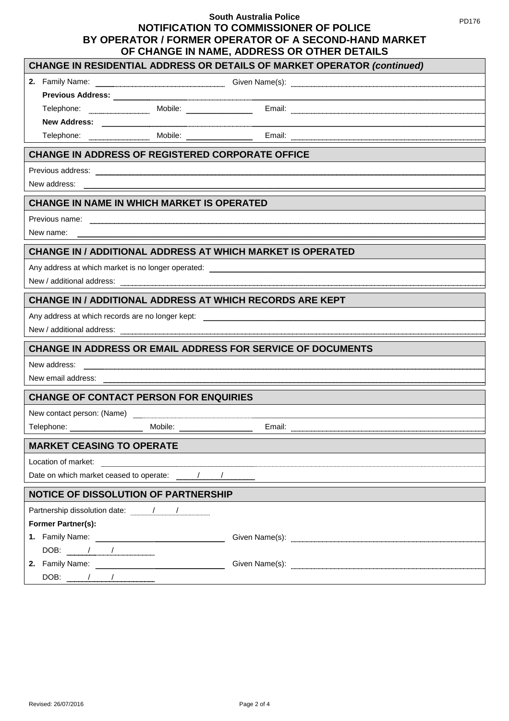# **South Australia Police NOTIFICATION TO COMMISSIONER OF POLICE BY OPERATOR / FORMER OPERATOR OF A SECOND-HAND MARKET OF CHANGE IN NAME, ADDRESS OR OTHER DETAILS**

PD176

| <b>CHANGE IN RESIDENTIAL ADDRESS OR DETAILS OF MARKET OPERATOR (continued)</b> |                                                                                                                                                                                                                                |  |  |  |
|--------------------------------------------------------------------------------|--------------------------------------------------------------------------------------------------------------------------------------------------------------------------------------------------------------------------------|--|--|--|
|                                                                                | 2. Family Name: www.waterman.com/waterman.com/waterman.com/waterman.com/waterman.com/waterman.com/waterman.com/                                                                                                                |  |  |  |
|                                                                                |                                                                                                                                                                                                                                |  |  |  |
|                                                                                | Telephone: Mobile: Mobile: Email: Email: Email: Allephone: Allephone: Allephone: Allephone: Allephone: Allephone: Allephone: Allephone: Allephone: Allephone: Allephone: Allephone: Allephone: Allephone: Allephone: Allephone |  |  |  |
|                                                                                |                                                                                                                                                                                                                                |  |  |  |
|                                                                                | Telephone: Mobile: Mobile: Email: Email: Email: Allephone: Email: Allephone: Allephone: Allephone: Allephone: Allephone: Allephone: Allephone: Allephone: Allephone: Allephone: Allephone: Allephone: Allephone: Allephone: Al |  |  |  |
| <b>CHANGE IN ADDRESS OF REGISTERED CORPORATE OFFICE</b>                        |                                                                                                                                                                                                                                |  |  |  |
|                                                                                |                                                                                                                                                                                                                                |  |  |  |
| New address:                                                                   |                                                                                                                                                                                                                                |  |  |  |
| <b>CHANGE IN NAME IN WHICH MARKET IS OPERATED</b>                              |                                                                                                                                                                                                                                |  |  |  |
|                                                                                |                                                                                                                                                                                                                                |  |  |  |
| New name:                                                                      |                                                                                                                                                                                                                                |  |  |  |
| <b>CHANGE IN / ADDITIONAL ADDRESS AT WHICH MARKET IS OPERATED</b>              |                                                                                                                                                                                                                                |  |  |  |
|                                                                                |                                                                                                                                                                                                                                |  |  |  |
|                                                                                |                                                                                                                                                                                                                                |  |  |  |
| <b>CHANGE IN / ADDITIONAL ADDRESS AT WHICH RECORDS ARE KEPT</b>                |                                                                                                                                                                                                                                |  |  |  |
|                                                                                |                                                                                                                                                                                                                                |  |  |  |
|                                                                                |                                                                                                                                                                                                                                |  |  |  |
| <b>CHANGE IN ADDRESS OR EMAIL ADDRESS FOR SERVICE OF DOCUMENTS</b>             |                                                                                                                                                                                                                                |  |  |  |
| New address:                                                                   |                                                                                                                                                                                                                                |  |  |  |
|                                                                                |                                                                                                                                                                                                                                |  |  |  |
| <b>CHANGE OF CONTACT PERSON FOR ENQUIRIES</b>                                  |                                                                                                                                                                                                                                |  |  |  |
| New contact person: (Name)                                                     |                                                                                                                                                                                                                                |  |  |  |
|                                                                                |                                                                                                                                                                                                                                |  |  |  |
| <b>MARKET CEASING TO OPERATE</b>                                               |                                                                                                                                                                                                                                |  |  |  |
| Location of market:                                                            |                                                                                                                                                                                                                                |  |  |  |
|                                                                                |                                                                                                                                                                                                                                |  |  |  |
| <b>NOTICE OF DISSOLUTION OF PARTNERSHIP</b>                                    |                                                                                                                                                                                                                                |  |  |  |
|                                                                                |                                                                                                                                                                                                                                |  |  |  |
| <b>Former Partner(s):</b>                                                      |                                                                                                                                                                                                                                |  |  |  |
|                                                                                | Given Name(s):                                                                                                                                                                                                                 |  |  |  |
| DOB: $\frac{1}{1}$                                                             |                                                                                                                                                                                                                                |  |  |  |
|                                                                                |                                                                                                                                                                                                                                |  |  |  |
| $DOB:$ $/$ $/$                                                                 |                                                                                                                                                                                                                                |  |  |  |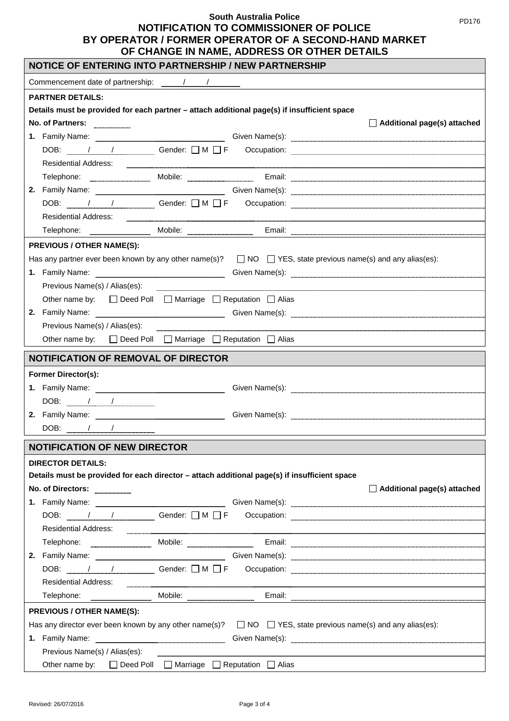### **South Australia Police NOTIFICATION TO COMMISSIONER OF POLICE**

# **BY OPERATOR / FORMER OPERATOR OF A SECOND-HAND MARKET OF CHANGE IN NAME, ADDRESS OR OTHER DETAILS**

| NOTICE OF ENTERING INTO PARTNERSHIP / NEW PARTNERSHIP                                                                                                                                                                                     |  |  |  |  |  |  |
|-------------------------------------------------------------------------------------------------------------------------------------------------------------------------------------------------------------------------------------------|--|--|--|--|--|--|
|                                                                                                                                                                                                                                           |  |  |  |  |  |  |
| <b>PARTNER DETAILS:</b>                                                                                                                                                                                                                   |  |  |  |  |  |  |
| Details must be provided for each partner - attach additional page(s) if insufficient space                                                                                                                                               |  |  |  |  |  |  |
| No. of Partners:<br>$\Box$ Additional page(s) attached                                                                                                                                                                                    |  |  |  |  |  |  |
| 1. Family Name: <u>Containing Science Communications</u> Civen Name(s): Container Communications of the Science Communication of the Science Communication of the Science Communication of the Science Communication of the Science       |  |  |  |  |  |  |
|                                                                                                                                                                                                                                           |  |  |  |  |  |  |
| <b>Residential Address:</b>                                                                                                                                                                                                               |  |  |  |  |  |  |
|                                                                                                                                                                                                                                           |  |  |  |  |  |  |
| 2. Family Name: <u>Cambridge Communications Covenia Given Name(s</u> ): Coven Name(s):                                                                                                                                                    |  |  |  |  |  |  |
| DOB: / / / Gender: O M O F Occupation: 2008 COM                                                                                                                                                                                           |  |  |  |  |  |  |
| <b>Residential Address:</b>                                                                                                                                                                                                               |  |  |  |  |  |  |
|                                                                                                                                                                                                                                           |  |  |  |  |  |  |
| <b>PREVIOUS / OTHER NAME(S):</b>                                                                                                                                                                                                          |  |  |  |  |  |  |
| Has any partner ever been known by any other name(s)? $\Box$ NO $\Box$ YES, state previous name(s) and any alias(es):                                                                                                                     |  |  |  |  |  |  |
| 1. Family Name: <u>Electrical Street Street Street Street Street Street Street Street Street Street Street Street Street Street Street Street Street Street Street Street Street Street Street Street Street Street Street Stree</u>      |  |  |  |  |  |  |
| Previous Name(s) / Alias(es):                                                                                                                                                                                                             |  |  |  |  |  |  |
| Other name by: □ Deed Poll □ Marriage □ Reputation □ Alias                                                                                                                                                                                |  |  |  |  |  |  |
| 2. Family Name: <u>Electrical Street Street Street Street Street Street Street Street Street Street Street Street Street Street Street Street Street Street Street Street Street Street Street Street Street Street Street Stree</u>      |  |  |  |  |  |  |
| Previous Name(s) / Alias(es):                                                                                                                                                                                                             |  |  |  |  |  |  |
| Other name by: $\Box$ Deed Poll $\Box$ Marriage $\Box$ Reputation $\Box$ Alias                                                                                                                                                            |  |  |  |  |  |  |
| <b>NOTIFICATION OF REMOVAL OF DIRECTOR</b>                                                                                                                                                                                                |  |  |  |  |  |  |
| <b>Former Director(s):</b>                                                                                                                                                                                                                |  |  |  |  |  |  |
|                                                                                                                                                                                                                                           |  |  |  |  |  |  |
| $DOB:$ $/$                                                                                                                                                                                                                                |  |  |  |  |  |  |
|                                                                                                                                                                                                                                           |  |  |  |  |  |  |
|                                                                                                                                                                                                                                           |  |  |  |  |  |  |
| <b>NOTIFICATION OF NEW DIRECTOR</b>                                                                                                                                                                                                       |  |  |  |  |  |  |
| <b>DIRECTOR DETAILS:</b>                                                                                                                                                                                                                  |  |  |  |  |  |  |
| Details must be provided for each director - attach additional page(s) if insufficient space                                                                                                                                              |  |  |  |  |  |  |
| No. of Directors:<br>$\Box$ Additional page(s) attached                                                                                                                                                                                   |  |  |  |  |  |  |
| 1. Family Name: <b>Example 2.1 Strategies</b> Given Name(s): <b>Confidence and Confidential Confidence and Confidential Confidential Confidential Confidential Confidential Confidential Confidential Confidential Confidential Confi</b> |  |  |  |  |  |  |
| DOB: / / / Gender: OM OF Occupation: 2008 COM                                                                                                                                                                                             |  |  |  |  |  |  |
| Residential Address: <u>Communication of the set of the set of the set of the set of the set of the set of the set of</u>                                                                                                                 |  |  |  |  |  |  |
|                                                                                                                                                                                                                                           |  |  |  |  |  |  |
| 2. Family Name: Given Name(s): Given Name(s):                                                                                                                                                                                             |  |  |  |  |  |  |
| DOB: $\mu$ / / Cender: $\Box M \Box F$ Occupation:                                                                                                                                                                                        |  |  |  |  |  |  |
| Residential Address:<br><u> 1980 - Johann Stoff, fransk konstantin (f. 1980)</u>                                                                                                                                                          |  |  |  |  |  |  |
|                                                                                                                                                                                                                                           |  |  |  |  |  |  |
| <b>PREVIOUS / OTHER NAME(S):</b>                                                                                                                                                                                                          |  |  |  |  |  |  |
| Has any director ever been known by any other name(s)? $\Box$ NO $\Box$ YES, state previous name(s) and any alias(es):                                                                                                                    |  |  |  |  |  |  |
| 1. Family Name: <u>Electric Communication</u> Civen Name(s): Electric Communication of the Communication Communication                                                                                                                    |  |  |  |  |  |  |
|                                                                                                                                                                                                                                           |  |  |  |  |  |  |
| Other name by: □ Deed Poll □ Marriage □ Reputation □ Alias                                                                                                                                                                                |  |  |  |  |  |  |